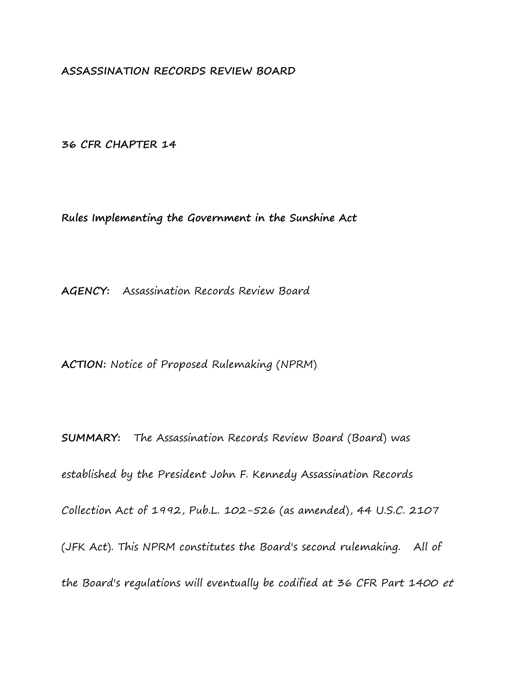**ASSASSINATION RECORDS REVIEW BOARD**

**36 CFR CHAPTER 14**

**Rules Implementing the Government in the Sunshine Act**

**AGENCY:** Assassination Records Review Board

**ACTION:** Notice of Proposed Rulemaking (NPRM)

**SUMMARY:** The Assassination Records Review Board (Board) was established by the President John F. Kennedy Assassination Records Collection Act of 1992, Pub.L. 102-526 (as amended), 44 U.S.C. 2107 (JFK Act). This NPRM constitutes the Board's second rulemaking. All of the Board's regulations will eventually be codified at 36 CFR Part 1400 et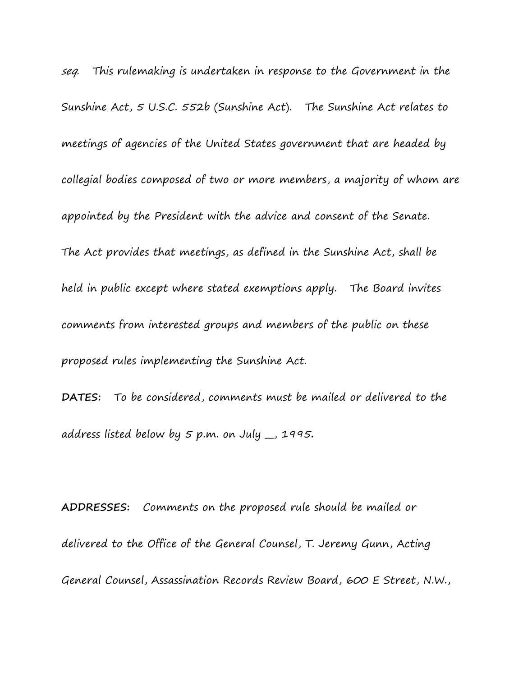seq. This rulemaking is undertaken in response to the Government in the Sunshine Act, 5 U.S.C. 552b (Sunshine Act). The Sunshine Act relates to meetings of agencies of the United States government that are headed by collegial bodies composed of two or more members, a majority of whom are appointed by the President with the advice and consent of the Senate. The Act provides that meetings, as defined in the Sunshine Act, shall be held in public except where stated exemptions apply. The Board invites comments from interested groups and members of the public on these proposed rules implementing the Sunshine Act.

**DATES:** To be considered, comments must be mailed or delivered to the address listed below by 5 p.m. on July \_\_, 1995**.**

**ADDRESSES:** Comments on the proposed rule should be mailed or delivered to the Office of the General Counsel, T. Jeremy Gunn, Acting General Counsel, Assassination Records Review Board, 600 E Street, N.W.,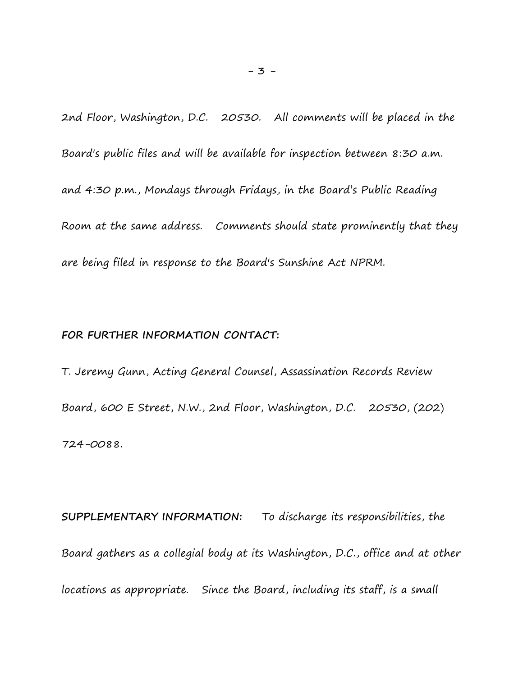2nd Floor, Washington, D.C. 20530.All comments will be placed in the Board's public files and will be available for inspection between 8:30 a.m. and 4:30 p.m., Mondays through Fridays, in the Board's Public Reading Room at the same address. Comments should state prominently that they are being filed in response to the Board's Sunshine Act NPRM.

#### **FOR FURTHER INFORMATION CONTACT:**

T. Jeremy Gunn, Acting General Counsel, Assassination Records Review Board, 600 E Street, N.W., 2nd Floor, Washington, D.C. 20530, (202) 724-0088.

**SUPPLEMENTARY INFORMATION:** To discharge its responsibilities, the Board gathers as a collegial body at its Washington, D.C., office and at other locations as appropriate. Since the Board, including its staff, is a small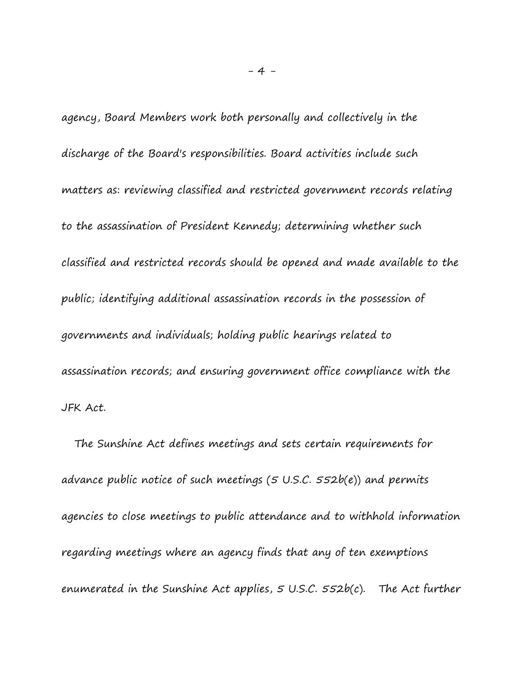agency, Board Members work both personally and collectively in the discharge of the Board's responsibilities. Board activities include such matters as: reviewing classified and restricted government records relating to the assassination of President Kennedy; determining whether such classified and restricted records should be opened and made available to the public; identifying additional assassination records in the possession of governments and individuals; holding public hearings related to assassination records; and ensuring government office compliance with the JFK Act.

 The Sunshine Act defines meetings and sets certain requirements for advance public notice of such meetings (5 U.S.C. 552b(e)) and permits agencies to close meetings to public attendance and to withhold information regarding meetings where an agency finds that any of ten exemptions enumerated in the Sunshine Act applies, 5 U.S.C. 552b(c). The Act further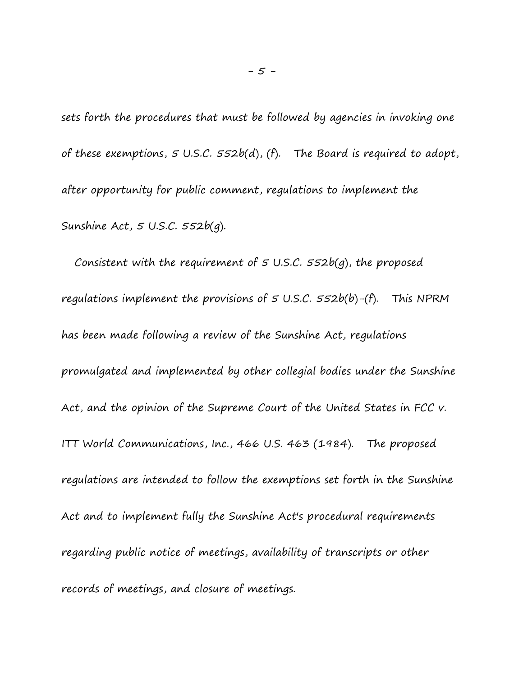sets forth the procedures that must be followed by agencies in invoking one of these exemptions,  $5$  U.S.C.  $552b(d)$ , (f). The Board is required to adopt, after opportunity for public comment, regulations to implement the Sunshine Act,  $5$  U.S.C.  $552b(q)$ .

Consistent with the requirement of  $5$  U.S.C.  $552b(q)$ , the proposed regulations implement the provisions of  $5$  U.S.C.  $552b(b)$ -(f). This NPRM has been made following a review of the Sunshine Act, regulations promulgated and implemented by other collegial bodies under the Sunshine Act, and the opinion of the Supreme Court of the United States in FCC v. ITT World Communications, Inc., 466 U.S. 463 (1984). The proposed regulations are intended to follow the exemptions set forth in the Sunshine Act and to implement fully the Sunshine Act's procedural requirements regarding public notice of meetings, availability of transcripts or other records of meetings, and closure of meetings.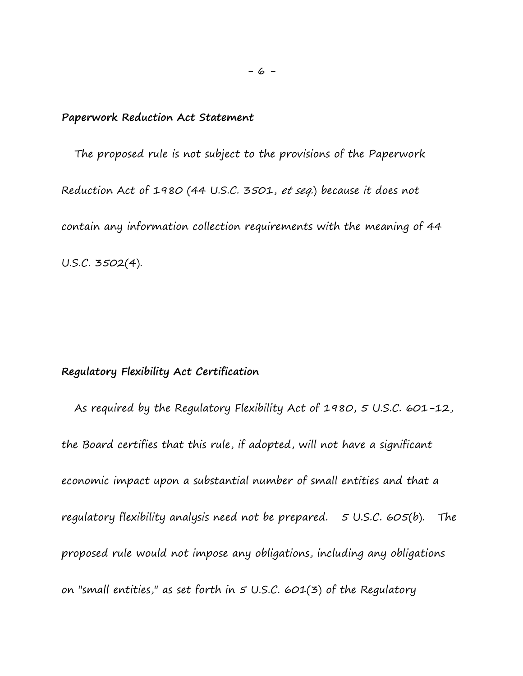### **Paperwork Reduction Act Statement**

 The proposed rule is not subject to the provisions of the Paperwork Reduction Act of 1980 (44 U.S.C. 3501, et seq.) because it does not contain any information collection requirements with the meaning of 44 U.S.C. 3502(4).

# **Regulatory Flexibility Act Certification**

 As required by the Regulatory Flexibility Act of 1980, 5 U.S.C. 601-12, the Board certifies that this rule, if adopted, will not have a significant economic impact upon a substantial number of small entities and that a regulatory flexibility analysis need not be prepared. 5 U.S.C. 605(b). The proposed rule would not impose any obligations, including any obligations on "small entities," as set forth in  $5$  U.S.C. 601(3) of the Regulatory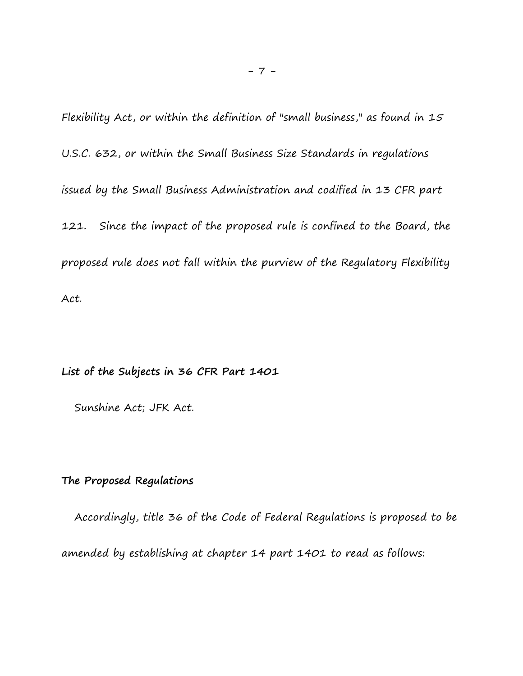Flexibility Act, or within the definition of "small business," as found in 15 U.S.C. 632, or within the Small Business Size Standards in regulations issued by the Small Business Administration and codified in 13 CFR part 121. Since the impact of the proposed rule is confined to the Board, the proposed rule does not fall within the purview of the Regulatory Flexibility Act.

**List of the Subjects in 36 CFR Part 1401**

Sunshine Act; JFK Act.

## **The Proposed Regulations**

 Accordingly, title 36 of the Code of Federal Regulations is proposed to be amended by establishing at chapter 14 part 1401 to read as follows: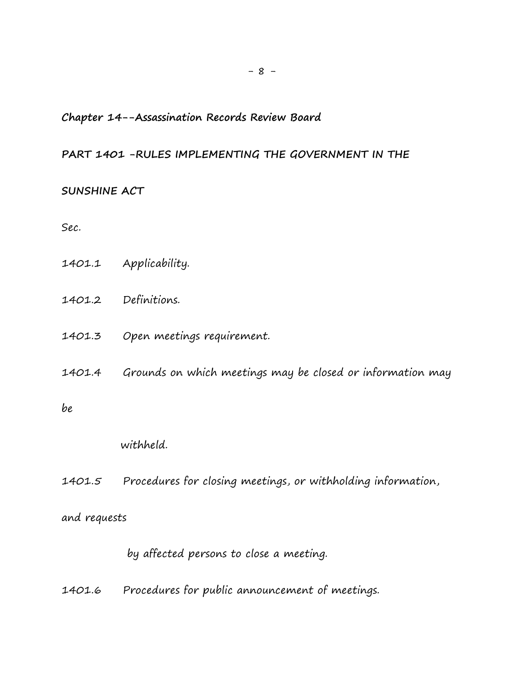## **Chapter 14--Assassination Records Review Board**

#### **PART 1401 -RULES IMPLEMENTING THE GOVERNMENT IN THE**

### **SUNSHINE ACT**

Sec.

- 1401.1 Applicability.
- 1401.2 Definitions.
- 1401.3 Open meetings requirement.
- 1401.4 Grounds on which meetings may be closed or information may

be

withheld.

1401.5 Procedures for closing meetings, or withholding information,

## and requests

by affected persons to close a meeting.

1401.6 Procedures for public announcement of meetings.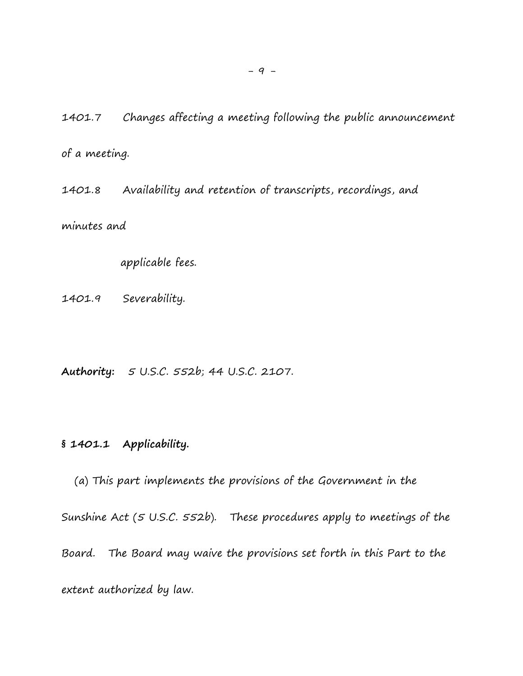1401.7 Changes affecting a meeting following the public announcement of a meeting.

1401.8 Availability and retention of transcripts, recordings, and minutes and

applicable fees.

1401.9 Severability.

**Authority:** 5 U.S.C. 552b; 44 U.S.C. 2107.

# **§ 1401.1 Applicability.**

 (a) This part implements the provisions of the Government in the Sunshine Act (5 U.S.C. 552b). These procedures apply to meetings of the Board. The Board may waive the provisions set forth in this Part to the extent authorized by law.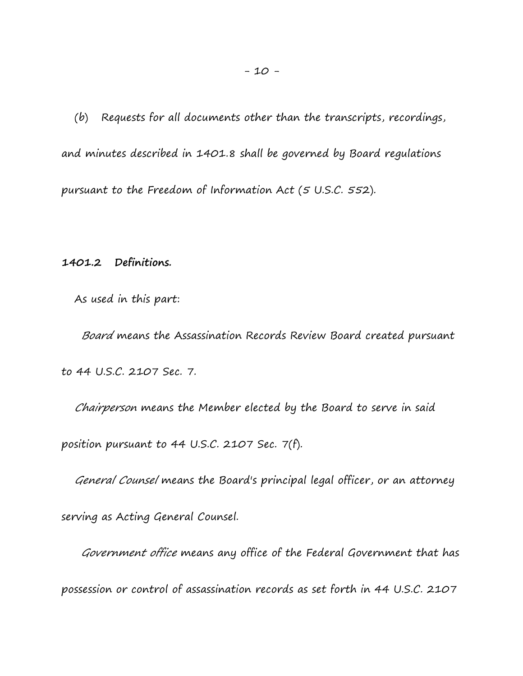(b) Requests for all documents other than the transcripts, recordings, and minutes described in 1401.8 shall be governed by Board regulations pursuant to the Freedom of Information Act (5 U.S.C. 552).

**1401.2 Definitions.**

As used in this part:

 Board means the Assassination Records Review Board created pursuant to 44 U.S.C. 2107 Sec. 7.

 Chairperson means the Member elected by the Board to serve in said position pursuant to 44 U.S.C. 2107 Sec. 7(f).

General Counsel means the Board's principal legal officer, or an attorney

serving as Acting General Counsel.

 Government office means any office of the Federal Government that has possession or control of assassination records as set forth in 44 U.S.C. 2107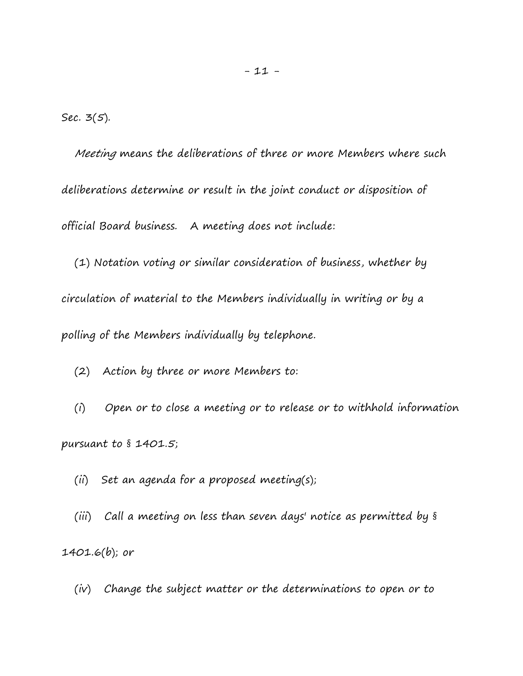Sec. 3(5).

 Meeting means the deliberations of three or more Members where such deliberations determine or result in the joint conduct or disposition of official Board business. A meeting does not include:

 (1) Notation voting or similar consideration of business, whether by circulation of material to the Members individually in writing or by a polling of the Members individually by telephone.

(2) Action by three or more Members to:

 (i) Open or to close a meeting or to release or to withhold information pursuant to § 1401.5;

(ii) Set an agenda for a proposed meeting(s);

 (iii) Call a meeting on less than seven days' notice as permitted by § 1401.6(b); or

(iv) Change the subject matter or the determinations to open or to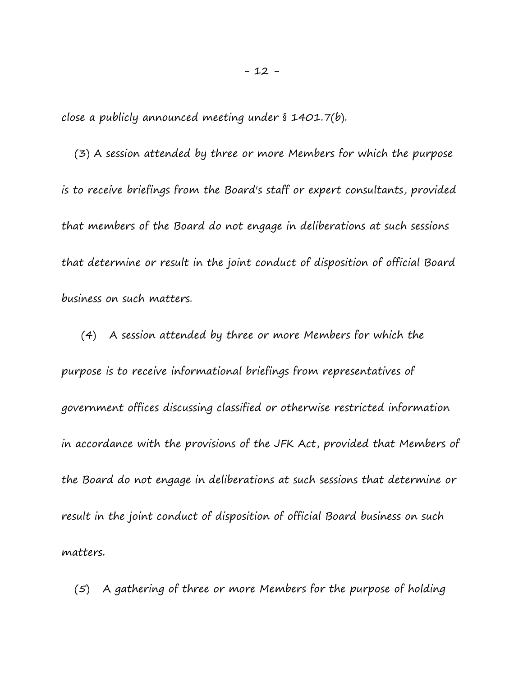close a publicly announced meeting under § 1401.7(b).

 (3) A session attended by three or more Members for which the purpose is to receive briefings from the Board's staff or expert consultants, provided that members of the Board do not engage in deliberations at such sessions that determine or result in the joint conduct of disposition of official Board business on such matters.

 (4) A session attended by three or more Members for which the purpose is to receive informational briefings from representatives of government offices discussing classified or otherwise restricted information in accordance with the provisions of the JFK Act, provided that Members of the Board do not engage in deliberations at such sessions that determine or result in the joint conduct of disposition of official Board business on such matters.

(5) A gathering of three or more Members for the purpose of holding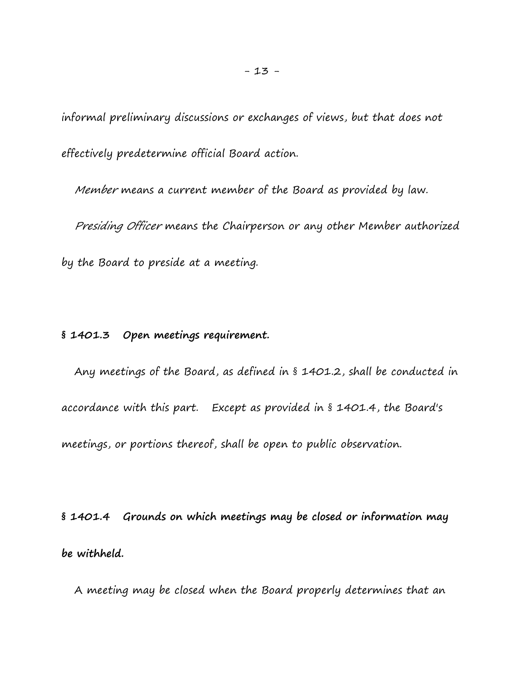informal preliminary discussions or exchanges of views, but that does not effectively predetermine official Board action.

Member means a current member of the Board as provided by law.

 Presiding Officer means the Chairperson or any other Member authorized by the Board to preside at a meeting.

# **§ 1401.3 Open meetings requirement.**

 Any meetings of the Board, as defined in § 1401.2, shall be conducted in accordance with this part. Except as provided in § 1401.4, the Board's meetings, or portions thereof, shall be open to public observation.

**§ 1401.4 Grounds on which meetings may be closed or information may be withheld.**

A meeting may be closed when the Board properly determines that an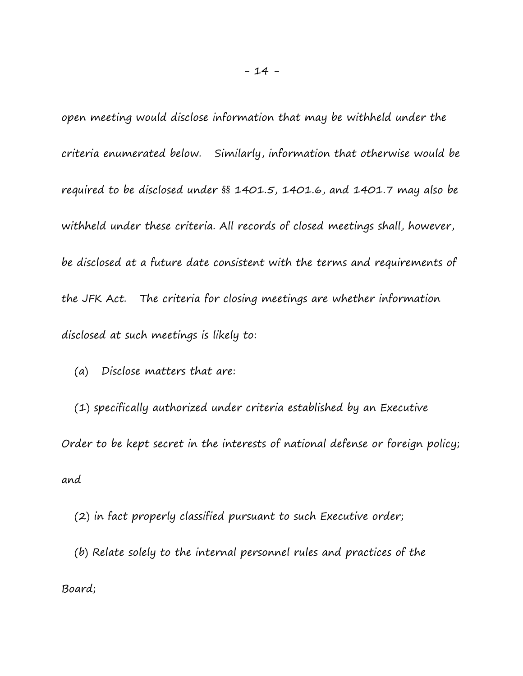open meeting would disclose information that may be withheld under the criteria enumerated below. Similarly, information that otherwise would be required to be disclosed under §§ 1401.5, 1401.6, and 1401.7 may also be withheld under these criteria. All records of closed meetings shall, however, be disclosed at a future date consistent with the terms and requirements of the JFK Act. The criteria for closing meetings are whether information disclosed at such meetings is likely to:

(a) Disclose matters that are:

 (1) specifically authorized under criteria established by an Executive Order to be kept secret in the interests of national defense or foreign policy; and

 (2) in fact properly classified pursuant to such Executive order; (b) Relate solely to the internal personnel rules and practices of the Board;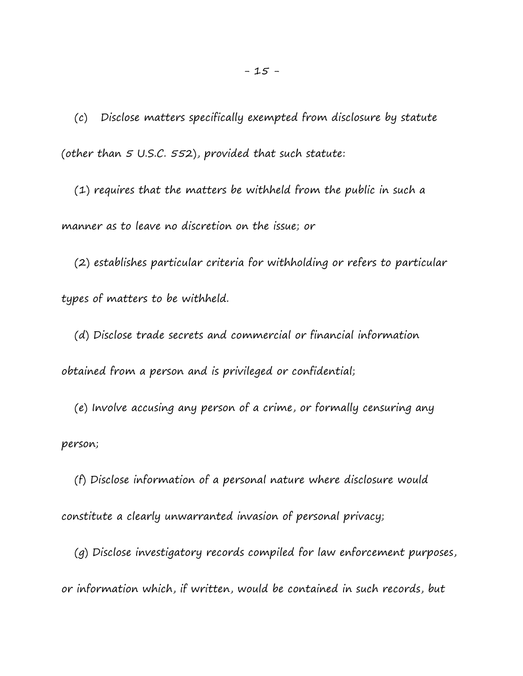(c) Disclose matters specifically exempted from disclosure by statute (other than 5 U.S.C. 552), provided that such statute:

 (1) requires that the matters be withheld from the public in such a manner as to leave no discretion on the issue; or

 (2) establishes particular criteria for withholding or refers to particular types of matters to be withheld.

 (d) Disclose trade secrets and commercial or financial information obtained from a person and is privileged or confidential;

 (e) Involve accusing any person of a crime, or formally censuring any person;

 (f) Disclose information of a personal nature where disclosure would constitute a clearly unwarranted invasion of personal privacy;

 (g) Disclose investigatory records compiled for law enforcement purposes, or information which, if written, would be contained in such records, but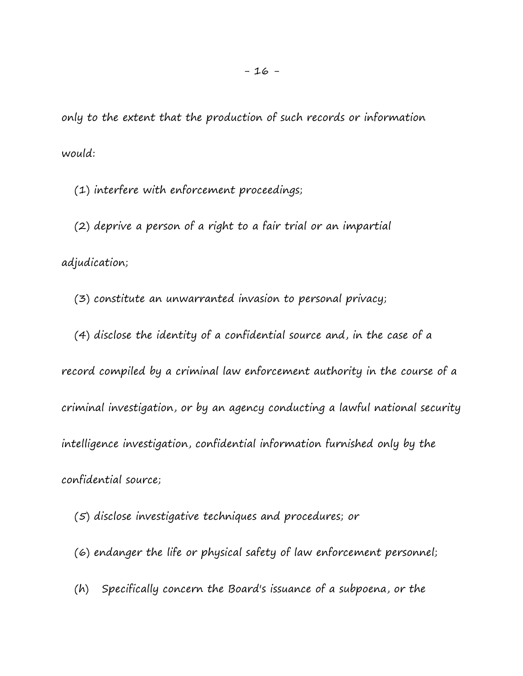only to the extent that the production of such records or information would:

(1) interfere with enforcement proceedings;

 (2) deprive a person of a right to a fair trial or an impartial adjudication;

(3) constitute an unwarranted invasion to personal privacy;

 (4) disclose the identity of a confidential source and, in the case of a record compiled by a criminal law enforcement authority in the course of a criminal investigation, or by an agency conducting a lawful national security intelligence investigation, confidential information furnished only by the confidential source;

(5) disclose investigative techniques and procedures; or

- (6) endanger the life or physical safety of law enforcement personnel;
- (h) Specifically concern the Board's issuance of a subpoena, or the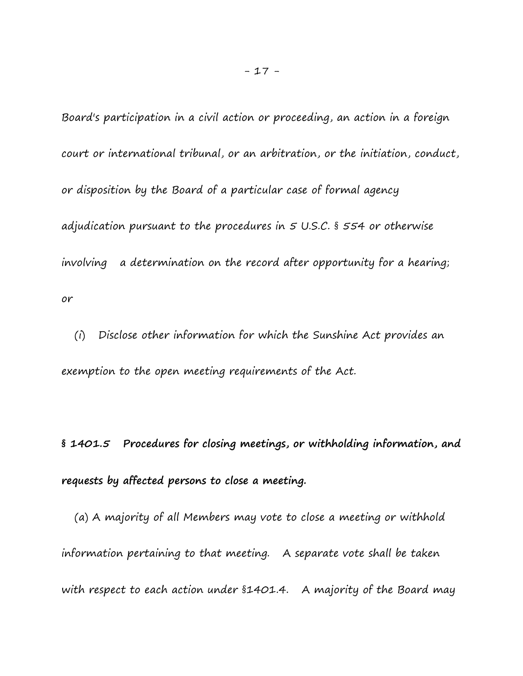Board's participation in a civil action or proceeding, an action in a foreign court or international tribunal, or an arbitration, or the initiation, conduct, or disposition by the Board of a particular case of formal agency adjudication pursuant to the procedures in 5 U.S.C. § 554 or otherwise involving a determination on the record after opportunity for a hearing; or

 (i) Disclose other information for which the Sunshine Act provides an exemption to the open meeting requirements of the Act.

**§ 1401.5 Procedures for closing meetings, or withholding information, and requests by affected persons to close a meeting.**

 (a) A majority of all Members may vote to close a meeting or withhold information pertaining to that meeting. A separate vote shall be taken with respect to each action under §1401.4. A majority of the Board may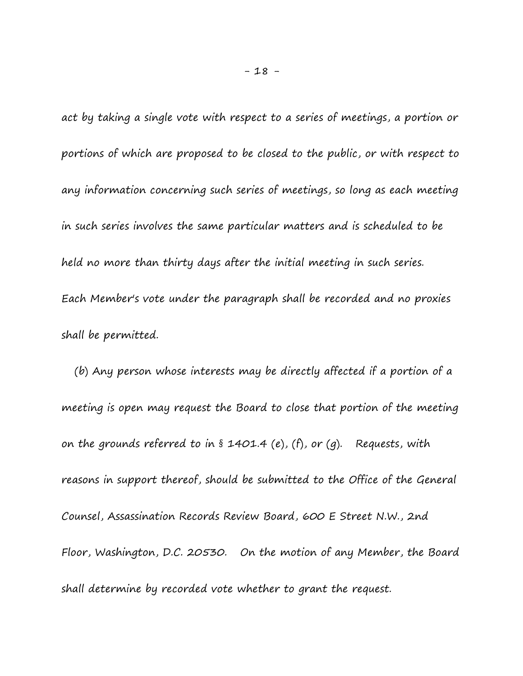act by taking a single vote with respect to a series of meetings, a portion or portions of which are proposed to be closed to the public, or with respect to any information concerning such series of meetings, so long as each meeting in such series involves the same particular matters and is scheduled to be held no more than thirty days after the initial meeting in such series. Each Member's vote under the paragraph shall be recorded and no proxies shall be permitted.

 (b) Any person whose interests may be directly affected if a portion of a meeting is open may request the Board to close that portion of the meeting on the grounds referred to in  $\hat{s}$  1401.4 (e), (f), or (g). Requests, with reasons in support thereof, should be submitted to the Office of the General Counsel, Assassination Records Review Board, 600 E Street N.W., 2nd Floor, Washington, D.C. 20530. On the motion of any Member, the Board shall determine by recorded vote whether to grant the request.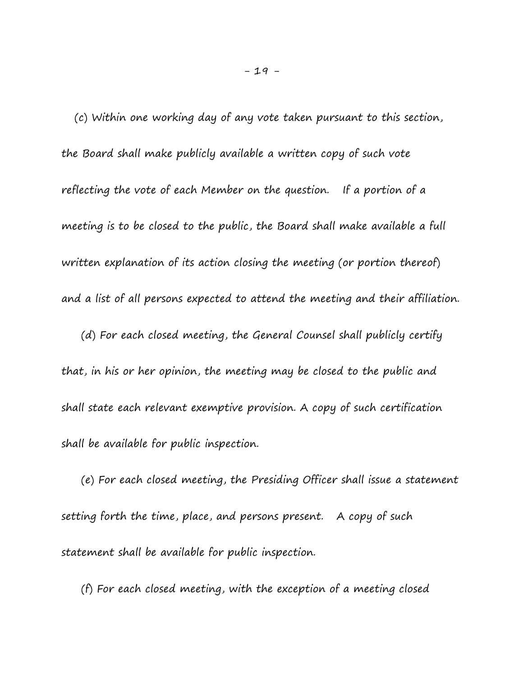(c) Within one working day of any vote taken pursuant to this section, the Board shall make publicly available a written copy of such vote reflecting the vote of each Member on the question. If a portion of a meeting is to be closed to the public, the Board shall make available a full written explanation of its action closing the meeting (or portion thereof) and a list of all persons expected to attend the meeting and their affiliation.

 (d) For each closed meeting, the General Counsel shall publicly certify that, in his or her opinion, the meeting may be closed to the public and shall state each relevant exemptive provision. A copy of such certification shall be available for public inspection.

 (e) For each closed meeting, the Presiding Officer shall issue a statement setting forth the time, place, and persons present. A copy of such statement shall be available for public inspection.

(f) For each closed meeting, with the exception of a meeting closed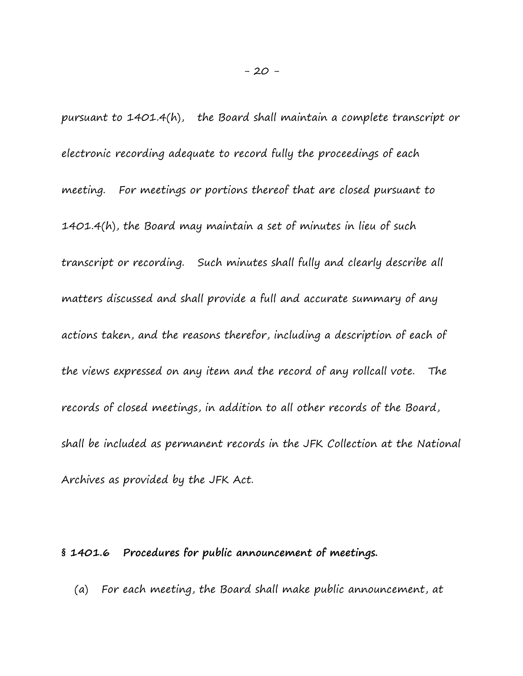pursuant to 1401.4(h), the Board shall maintain a complete transcript or electronic recording adequate to record fully the proceedings of each meeting. For meetings or portions thereof that are closed pursuant to 1401.4(h), the Board may maintain a set of minutes in lieu of such transcript or recording. Such minutes shall fully and clearly describe all matters discussed and shall provide a full and accurate summary of any actions taken, and the reasons therefor, including a description of each of the views expressed on any item and the record of any rollcall vote. The records of closed meetings, in addition to all other records of the Board, shall be included as permanent records in the JFK Collection at the National Archives as provided by the JFK Act.

### **§ 1401.6 Procedures for public announcement of meetings.**

(a) For each meeting, the Board shall make public announcement, at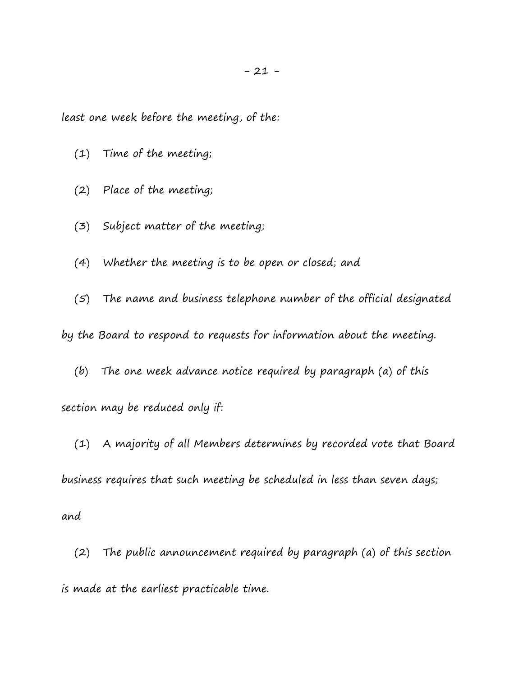least one week before the meeting, of the:

- (1) Time of the meeting;
- (2) Place of the meeting;
- (3) Subject matter of the meeting;
- (4) Whether the meeting is to be open or closed; and

 (5) The name and business telephone number of the official designated by the Board to respond to requests for information about the meeting.

 (b) The one week advance notice required by paragraph (a) of this section may be reduced only if:

 (1) A majority of all Members determines by recorded vote that Board business requires that such meeting be scheduled in less than seven days;

and

 (2) The public announcement required by paragraph (a) of this section is made at the earliest practicable time.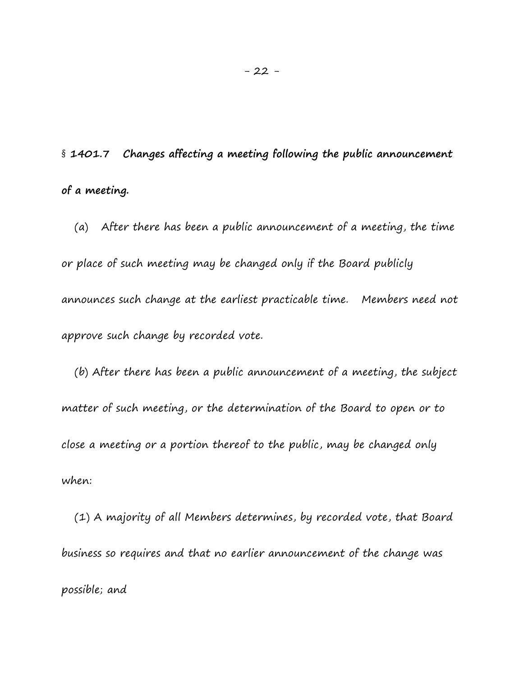§ **1401.7 Changes affecting a meeting following the public announcement of a meeting.**

 (a) After there has been a public announcement of a meeting, the time or place of such meeting may be changed only if the Board publicly announces such change at the earliest practicable time. Members need not approve such change by recorded vote.

 (b) After there has been a public announcement of a meeting, the subject matter of such meeting, or the determination of the Board to open or to close a meeting or a portion thereof to the public, may be changed only when:

 (1) A majority of all Members determines, by recorded vote, that Board business so requires and that no earlier announcement of the change was possible; and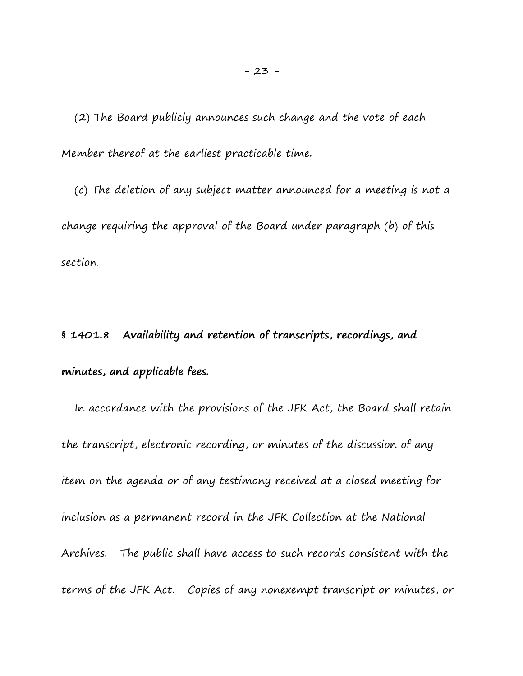(2) The Board publicly announces such change and the vote of each Member thereof at the earliest practicable time.

 (c) The deletion of any subject matter announced for a meeting is not a change requiring the approval of the Board under paragraph (b) of this section.

**§ 1401.8 Availability and retention of transcripts, recordings, and minutes, and applicable fees.**

 In accordance with the provisions of the JFK Act, the Board shall retain the transcript, electronic recording, or minutes of the discussion of any item on the agenda or of any testimony received at a closed meeting for inclusion as a permanent record in the JFK Collection at the National Archives. The public shall have access to such records consistent with the terms of the JFK Act. Copies of any nonexempt transcript or minutes, or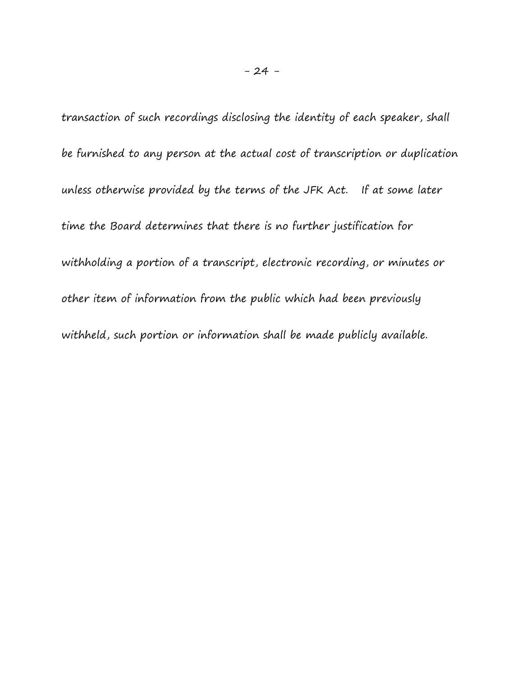transaction of such recordings disclosing the identity of each speaker, shall be furnished to any person at the actual cost of transcription or duplication unless otherwise provided by the terms of the JFK Act. If at some later time the Board determines that there is no further justification for withholding a portion of a transcript, electronic recording, or minutes or other item of information from the public which had been previously withheld, such portion or information shall be made publicly available.